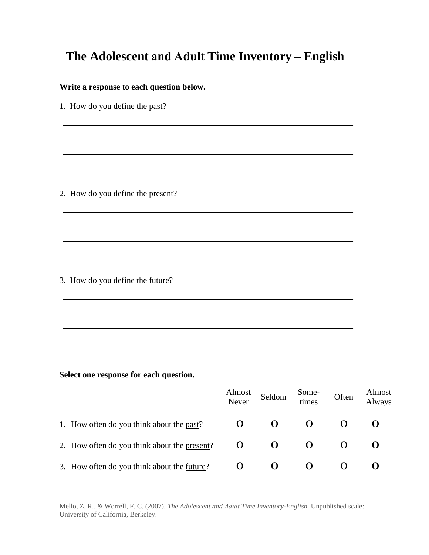## **The Adolescent and Adult Time Inventory – English**

## **Write a response to each question below.**

1. How do you define the past?

2. How do you define the present?

3. How do you define the future?

## **Select one response for each question.**

|                                              | Almost<br>Never   | Seldom | Some-<br>times | Often | Almost<br>Always |
|----------------------------------------------|-------------------|--------|----------------|-------|------------------|
| 1. How often do you think about the past?    | 0                 |        |                |       |                  |
| 2. How often do you think about the present? | $\mathbf{\Omega}$ |        |                |       |                  |
| 3. How often do you think about the future?  |                   |        |                |       |                  |

<u> 1989 - Johann Stoff, amerikansk politiker (\* 1908)</u>

Mello, Z. R., & Worrell, F. C. (2007). *The Adolescent and Adult Time Inventory-English*. Unpublished scale: University of California, Berkeley.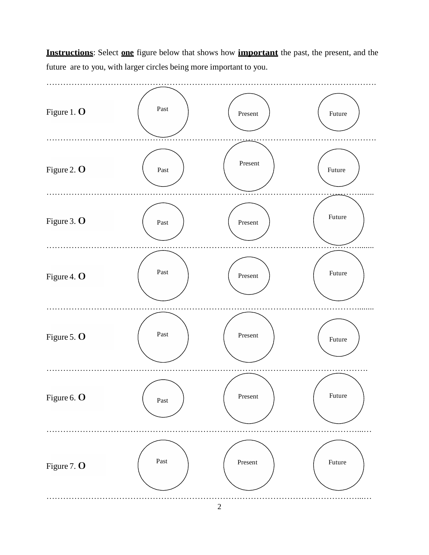**Instructions**: Select **one** figure below that shows how **important** the past, the present, and the future are to you, with larger circles being more important to you.

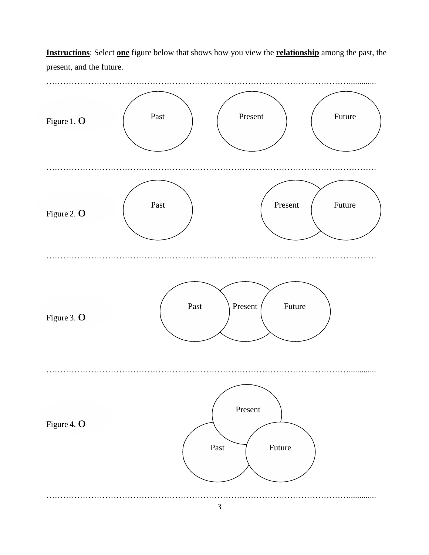**Instructions**: Select **one** figure below that shows how you view the **relationship** among the past, the present, and the future.